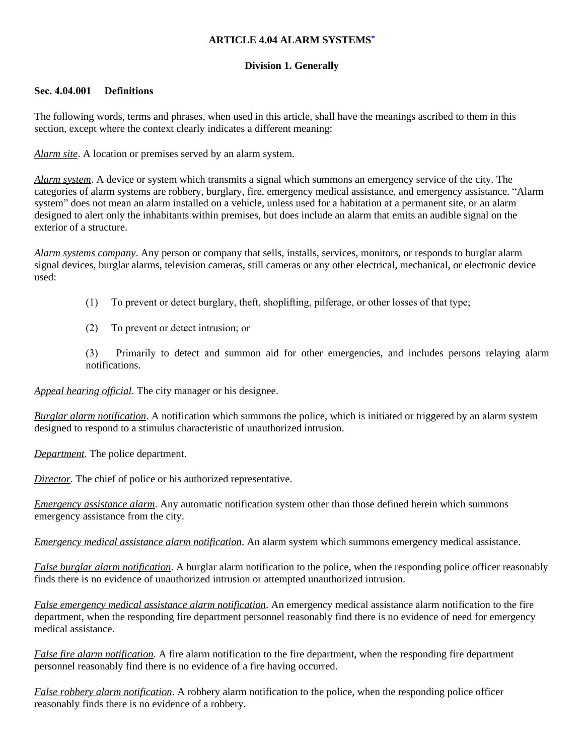### **ARTICLE 4.04 ALARM SYSTEMS[\\*](https://z2codes.franklinlegal.net/franklin/DocViewer.jsp?doccode=z20000044&z2collection=pilotpoint&showInToc=false#z2Code_z20000044)**

## **Division 1. Generally**

### **Sec. 4.04.001 Definitions**

The following words, terms and phrases, when used in this article, shall have the meanings ascribed to them in this section, except where the context clearly indicates a different meaning:

*Alarm site*. A location or premises served by an alarm system.

*Alarm system*. A device or system which transmits a signal which summons an emergency service of the city. The categories of alarm systems are robbery, burglary, fire, emergency medical assistance, and emergency assistance. "Alarm system" does not mean an alarm installed on a vehicle, unless used for a habitation at a permanent site, or an alarm designed to alert only the inhabitants within premises, but does include an alarm that emits an audible signal on the exterior of a structure.

*Alarm systems company*. Any person or company that sells, installs, services, monitors, or responds to burglar alarm signal devices, burglar alarms, television cameras, still cameras or any other electrical, mechanical, or electronic device used:

- (1) To prevent or detect burglary, theft, shoplifting, pilferage, or other losses of that type;
- (2) To prevent or detect intrusion; or

(3) Primarily to detect and summon aid for other emergencies, and includes persons relaying alarm notifications.

*Appeal hearing official*. The city manager or his designee.

*Burglar alarm notification*. A notification which summons the police, which is initiated or triggered by an alarm system designed to respond to a stimulus characteristic of unauthorized intrusion.

*Department*. The police department.

*Director*. The chief of police or his authorized representative.

*Emergency assistance alarm*. Any automatic notification system other than those defined herein which summons emergency assistance from the city.

*Emergency medical assistance alarm notification*. An alarm system which summons emergency medical assistance.

*False burglar alarm notification*. A burglar alarm notification to the police, when the responding police officer reasonably finds there is no evidence of unauthorized intrusion or attempted unauthorized intrusion.

*False emergency medical assistance alarm notification*. An emergency medical assistance alarm notification to the fire department, when the responding fire department personnel reasonably find there is no evidence of need for emergency medical assistance.

*False fire alarm notification*. A fire alarm notification to the fire department, when the responding fire department personnel reasonably find there is no evidence of a fire having occurred.

*False robbery alarm notification*. A robbery alarm notification to the police, when the responding police officer reasonably finds there is no evidence of a robbery.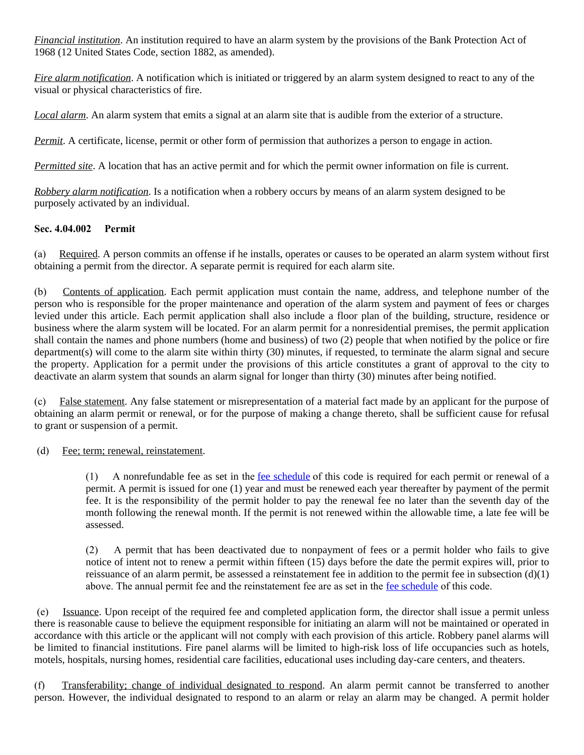*Financial institution*. An institution required to have an alarm system by the provisions of the Bank Protection Act of 1968 (12 United States Code, section 1882, as amended).

*Fire alarm notification*. A notification which is initiated or triggered by an alarm system designed to react to any of the visual or physical characteristics of fire.

*Local alarm*. An alarm system that emits a signal at an alarm site that is audible from the exterior of a structure.

*Permit*. A certificate, license, permit or other form of permission that authorizes a person to engage in action.

*Permitted site*. A location that has an active permit and for which the permit owner information on file is current.

*Robbery alarm notification*. Is a notification when a robbery occurs by means of an alarm system designed to be purposely activated by an individual.

## **Sec. 4.04.002 Permit**

(a) Required. A person commits an offense if he installs, operates or causes to be operated an alarm system without first obtaining a permit from the director. A separate permit is required for each alarm site.

(b) Contents of application. Each permit application must contain the name, address, and telephone number of the person who is responsible for the proper maintenance and operation of the alarm system and payment of fees or charges levied under this article. Each permit application shall also include a floor plan of the building, structure, residence or business where the alarm system will be located. For an alarm permit for a nonresidential premises, the permit application shall contain the names and phone numbers (home and business) of two (2) people that when notified by the police or fire department(s) will come to the alarm site within thirty (30) minutes, if requested, to terminate the alarm signal and secure the property. Application for a permit under the provisions of this article constitutes a grant of approval to the city to deactivate an alarm system that sounds an alarm signal for longer than thirty (30) minutes after being notified.

(c) False statement. Any false statement or misrepresentation of a material fact made by an applicant for the purpose of obtaining an alarm permit or renewal, or for the purpose of making a change thereto, shall be sufficient cause for refusal to grant or suspension of a permit.

### (d) Fee; term; renewal, reinstatement.

(1) A nonrefundable fee as set in the [fee schedule](https://z2codes.franklinlegal.net/franklin/DocViewer.jsp?doccode=z20000088&z2collection=pilotpoint#JD_Fee%20Schedule) of this code is required for each permit or renewal of a permit. A permit is issued for one (1) year and must be renewed each year thereafter by payment of the permit fee. It is the responsibility of the permit holder to pay the renewal fee no later than the seventh day of the month following the renewal month. If the permit is not renewed within the allowable time, a late fee will be assessed.

(2) A permit that has been deactivated due to nonpayment of fees or a permit holder who fails to give notice of intent not to renew a permit within fifteen (15) days before the date the permit expires will, prior to reissuance of an alarm permit, be assessed a reinstatement fee in addition to the permit fee in subsection  $(d)(1)$ above. The annual permit fee and the reinstatement fee are as set in the <u>[fee schedule](https://z2codes.franklinlegal.net/franklin/DocViewer.jsp?doccode=z20000088&z2collection=pilotpoint#JD_Fee%20Schedule)</u> of this code.

(e) Issuance. Upon receipt of the required fee and completed application form, the director shall issue a permit unless there is reasonable cause to believe the equipment responsible for initiating an alarm will not be maintained or operated in accordance with this article or the applicant will not comply with each provision of this article. Robbery panel alarms will be limited to financial institutions. Fire panel alarms will be limited to high-risk loss of life occupancies such as hotels, motels, hospitals, nursing homes, residential care facilities, educational uses including day-care centers, and theaters.

(f) Transferability; change of individual designated to respond. An alarm permit cannot be transferred to another person. However, the individual designated to respond to an alarm or relay an alarm may be changed. A permit holder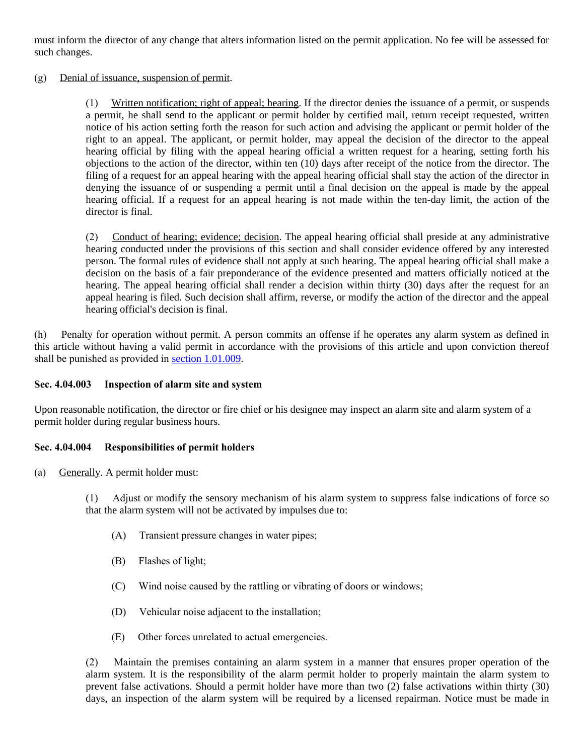must inform the director of any change that alters information listed on the permit application. No fee will be assessed for such changes.

(g) Denial of issuance, suspension of permit.

(1) Written notification; right of appeal; hearing. If the director denies the issuance of a permit, or suspends a permit, he shall send to the applicant or permit holder by certified mail, return receipt requested, written notice of his action setting forth the reason for such action and advising the applicant or permit holder of the right to an appeal. The applicant, or permit holder, may appeal the decision of the director to the appeal hearing official by filing with the appeal hearing official a written request for a hearing, setting forth his objections to the action of the director, within ten (10) days after receipt of the notice from the director. The filing of a request for an appeal hearing with the appeal hearing official shall stay the action of the director in denying the issuance of or suspending a permit until a final decision on the appeal is made by the appeal hearing official. If a request for an appeal hearing is not made within the ten-day limit, the action of the director is final.

(2) Conduct of hearing; evidence; decision. The appeal hearing official shall preside at any administrative hearing conducted under the provisions of this section and shall consider evidence offered by any interested person. The formal rules of evidence shall not apply at such hearing. The appeal hearing official shall make a decision on the basis of a fair preponderance of the evidence presented and matters officially noticed at the hearing. The appeal hearing official shall render a decision within thirty (30) days after the request for an appeal hearing is filed. Such decision shall affirm, reverse, or modify the action of the director and the appeal hearing official's decision is final.

(h) Penalty for operation without permit. A person commits an offense if he operates any alarm system as defined in this article without having a valid permit in accordance with the provisions of this article and upon conviction thereof shall be punished as provided in [section 1.01.009.](https://z2codes.franklinlegal.net/franklin/DocViewer.jsp?doccode=z20000011&z2collection=pilotpoint#JD_1.01.009)

### **Sec. 4.04.003 Inspection of alarm site and system**

Upon reasonable notification, the director or fire chief or his designee may inspect an alarm site and alarm system of a permit holder during regular business hours.

### **Sec. 4.04.004 Responsibilities of permit holders**

(a) Generally. A permit holder must:

(1) Adjust or modify the sensory mechanism of his alarm system to suppress false indications of force so that the alarm system will not be activated by impulses due to:

- (A) Transient pressure changes in water pipes;
- (B) Flashes of light;
- (C) Wind noise caused by the rattling or vibrating of doors or windows;
- (D) Vehicular noise adjacent to the installation;
- (E) Other forces unrelated to actual emergencies.

(2) Maintain the premises containing an alarm system in a manner that ensures proper operation of the alarm system. It is the responsibility of the alarm permit holder to properly maintain the alarm system to prevent false activations. Should a permit holder have more than two (2) false activations within thirty (30) days, an inspection of the alarm system will be required by a licensed repairman. Notice must be made in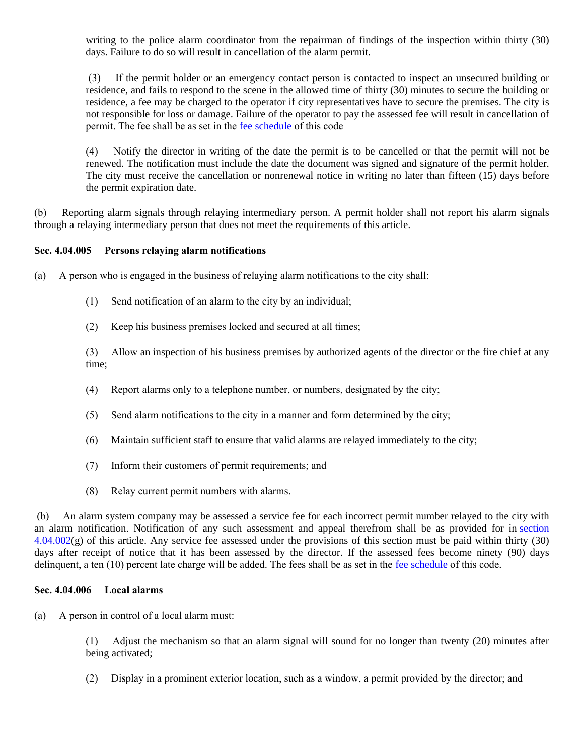writing to the police alarm coordinator from the repairman of findings of the inspection within thirty (30) days. Failure to do so will result in cancellation of the alarm permit.

(3) If the permit holder or an emergency contact person is contacted to inspect an unsecured building or residence, and fails to respond to the scene in the allowed time of thirty (30) minutes to secure the building or residence, a fee may be charged to the operator if city representatives have to secure the premises. The city is not responsible for loss or damage. Failure of the operator to pay the assessed fee will result in cancellation of permit. The fee shall be as set in the [fee schedule](https://z2codes.franklinlegal.net/franklin/DocViewer.jsp?doccode=z20000088&z2collection=pilotpoint#JD_Fee%20Schedule) of this code

(4) Notify the director in writing of the date the permit is to be cancelled or that the permit will not be renewed. The notification must include the date the document was signed and signature of the permit holder. The city must receive the cancellation or nonrenewal notice in writing no later than fifteen (15) days before the permit expiration date.

(b) Reporting alarm signals through relaying intermediary person. A permit holder shall not report his alarm signals through a relaying intermediary person that does not meet the requirements of this article.

### **Sec. 4.04.005 Persons relaying alarm notifications**

(a) A person who is engaged in the business of relaying alarm notifications to the city shall:

- (1) Send notification of an alarm to the city by an individual;
- (2) Keep his business premises locked and secured at all times;

(3) Allow an inspection of his business premises by authorized agents of the director or the fire chief at any time;

- (4) Report alarms only to a telephone number, or numbers, designated by the city;
- (5) Send alarm notifications to the city in a manner and form determined by the city;
- (6) Maintain sufficient staff to ensure that valid alarms are relayed immediately to the city;
- (7) Inform their customers of permit requirements; and
- (8) Relay current permit numbers with alarms.

(b) An alarm system company may be assessed a service fee for each incorrect permit number relayed to the city with an alarm notification. Notification of any such assessment and appeal therefrom shall be as provided for in [section](https://z2codes.franklinlegal.net/franklin/DocViewer.jsp?doccode=z20000041&z2collection=pilotpoint#JD_4.04.002)  $4.04.002(g)$  of this article. Any service fee assessed under the provisions of this section must be paid within thirty (30) days after receipt of notice that it has been assessed by the director. If the assessed fees become ninety (90) days delinquent, a ten (10) percent late charge will be added. The fees shall be as set in the <u>[fee schedule](https://z2codes.franklinlegal.net/franklin/DocViewer.jsp?doccode=z20000088&z2collection=pilotpoint#JD_Fee%20Schedule)</u> of this code.

#### **Sec. 4.04.006 Local alarms**

(a) A person in control of a local alarm must:

(1) Adjust the mechanism so that an alarm signal will sound for no longer than twenty (20) minutes after being activated;

(2) Display in a prominent exterior location, such as a window, a permit provided by the director; and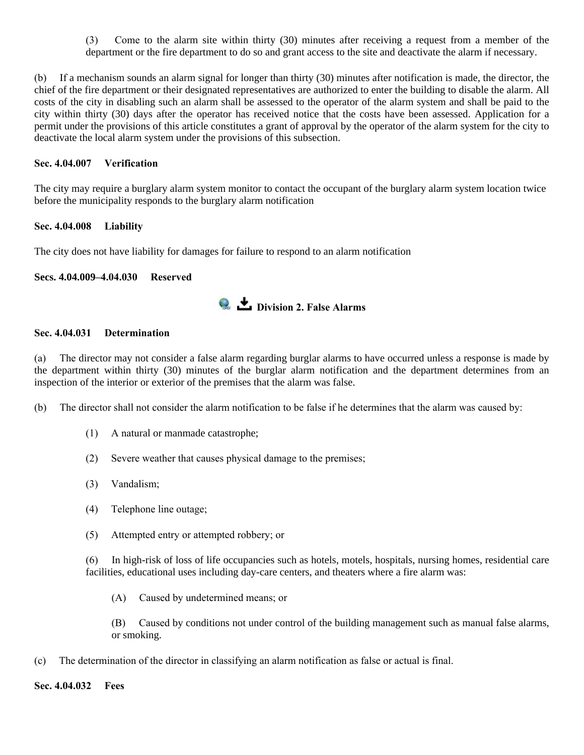(3) Come to the alarm site within thirty (30) minutes after receiving a request from a member of the department or the fire department to do so and grant access to the site and deactivate the alarm if necessary.

(b) If a mechanism sounds an alarm signal for longer than thirty (30) minutes after notification is made, the director, the chief of the fire department or their designated representatives are authorized to enter the building to disable the alarm. All costs of the city in disabling such an alarm shall be assessed to the operator of the alarm system and shall be paid to the city within thirty (30) days after the operator has received notice that the costs have been assessed. Application for a permit under the provisions of this article constitutes a grant of approval by the operator of the alarm system for the city to deactivate the local alarm system under the provisions of this subsection.

#### **Sec. 4.04.007 Verification**

The city may require a burglary alarm system monitor to contact the occupant of the burglary alarm system location twice before the municipality responds to the burglary alarm notification

### **Sec. 4.04.008 Liability**

The city does not have liability for damages for failure to respond to an alarm notification

### **Secs. 4.04.009–4.04.030 Reserved**



### **Sec. 4.04.031 Determination**

(a) The director may not consider a false alarm regarding burglar alarms to have occurred unless a response is made by the department within thirty (30) minutes of the burglar alarm notification and the department determines from an inspection of the interior or exterior of the premises that the alarm was false.

(b) The director shall not consider the alarm notification to be false if he determines that the alarm was caused by:

- (1) A natural or manmade catastrophe;
- (2) Severe weather that causes physical damage to the premises;
- (3) Vandalism;
- (4) Telephone line outage;
- (5) Attempted entry or attempted robbery; or

(6) In high-risk of loss of life occupancies such as hotels, motels, hospitals, nursing homes, residential care facilities, educational uses including day-care centers, and theaters where a fire alarm was:

(A) Caused by undetermined means; or

(B) Caused by conditions not under control of the building management such as manual false alarms, or smoking.

(c) The determination of the director in classifying an alarm notification as false or actual is final.

#### **Sec. 4.04.032 Fees**